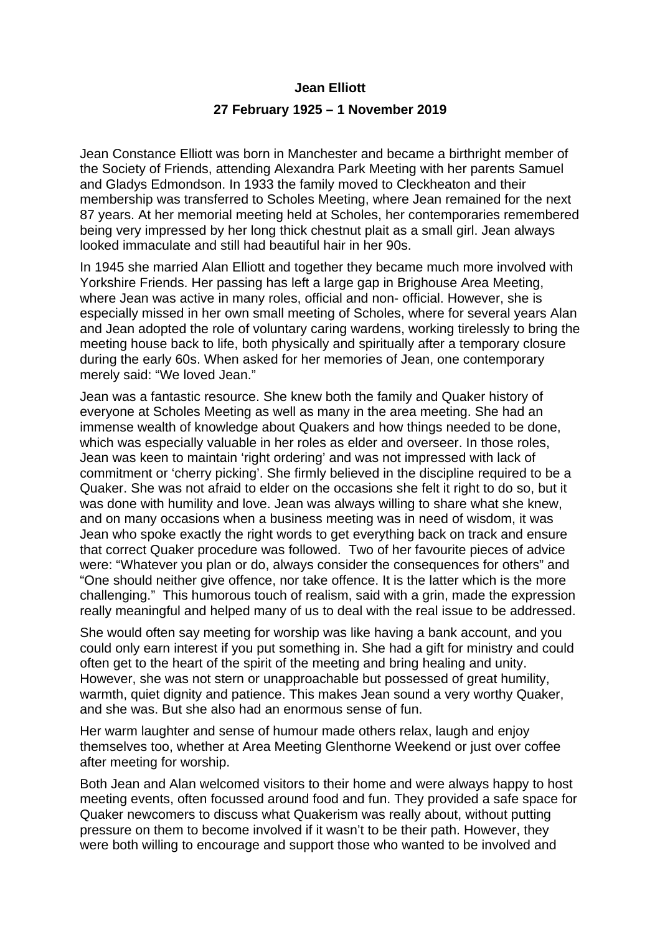## **Jean Elliott 27 February 1925 – 1 November 2019**

Jean Constance Elliott was born in Manchester and became a birthright member of the Society of Friends, attending Alexandra Park Meeting with her parents Samuel and Gladys Edmondson. In 1933 the family moved to Cleckheaton and their membership was transferred to Scholes Meeting, where Jean remained for the next 87 years. At her memorial meeting held at Scholes, her contemporaries remembered being very impressed by her long thick chestnut plait as a small girl. Jean always looked immaculate and still had beautiful hair in her 90s.

In 1945 she married Alan Elliott and together they became much more involved with Yorkshire Friends. Her passing has left a large gap in Brighouse Area Meeting, where Jean was active in many roles, official and non- official. However, she is especially missed in her own small meeting of Scholes, where for several years Alan and Jean adopted the role of voluntary caring wardens, working tirelessly to bring the meeting house back to life, both physically and spiritually after a temporary closure during the early 60s. When asked for her memories of Jean, one contemporary merely said: "We loved Jean."

Jean was a fantastic resource. She knew both the family and Quaker history of everyone at Scholes Meeting as well as many in the area meeting. She had an immense wealth of knowledge about Quakers and how things needed to be done, which was especially valuable in her roles as elder and overseer. In those roles, Jean was keen to maintain 'right ordering' and was not impressed with lack of commitment or 'cherry picking'. She firmly believed in the discipline required to be a Quaker. She was not afraid to elder on the occasions she felt it right to do so, but it was done with humility and love. Jean was always willing to share what she knew, and on many occasions when a business meeting was in need of wisdom, it was Jean who spoke exactly the right words to get everything back on track and ensure that correct Quaker procedure was followed. Two of her favourite pieces of advice were: "Whatever you plan or do, always consider the consequences for others" and "One should neither give offence, nor take offence. It is the latter which is the more challenging." This humorous touch of realism, said with a grin, made the expression really meaningful and helped many of us to deal with the real issue to be addressed.

She would often say meeting for worship was like having a bank account, and you could only earn interest if you put something in. She had a gift for ministry and could often get to the heart of the spirit of the meeting and bring healing and unity. However, she was not stern or unapproachable but possessed of great humility, warmth, quiet dignity and patience. This makes Jean sound a very worthy Quaker, and she was. But she also had an enormous sense of fun.

Her warm laughter and sense of humour made others relax, laugh and enjoy themselves too, whether at Area Meeting Glenthorne Weekend or just over coffee after meeting for worship.

Both Jean and Alan welcomed visitors to their home and were always happy to host meeting events, often focussed around food and fun. They provided a safe space for Quaker newcomers to discuss what Quakerism was really about, without putting pressure on them to become involved if it wasn't to be their path. However, they were both willing to encourage and support those who wanted to be involved and